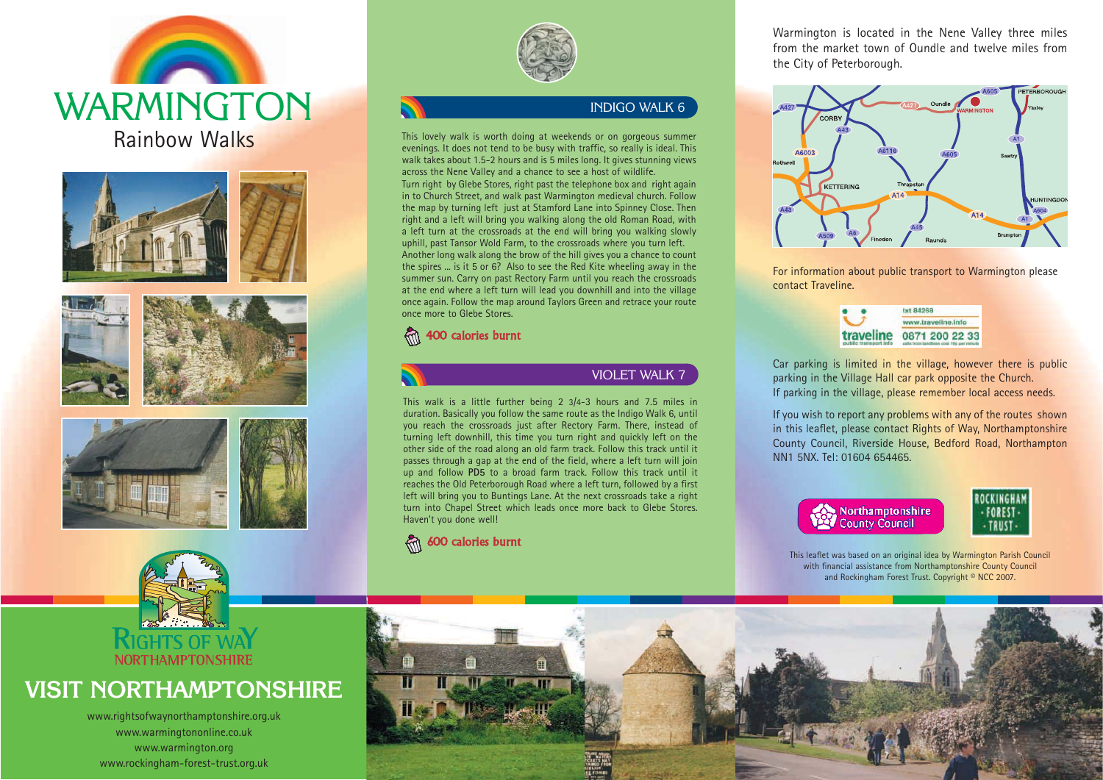









# **VISIT NORTHAMPTONSHIRE**

www.rightsofwaynorthamptonshire.org.uk www.warmingtononline.co.uk www.warmington.org www.rockingham-forest-trust.org.uk



## INDIGO WALK 6

This lovely walk is worth doing at weekends or on gorgeous summer evenings. It does not tend to be busy with traffic, so really is ideal. This walk takes about 1.5-2 hours and is 5 miles long. It gives stunning views across the Nene Valley and <sup>a</sup> chance to see <sup>a</sup> host of wildlife. Turn right by Glebe Stores, right past the telephone box and right again in to Church Street, and walk past Warmington medieval church. Follow the map by turning left just at Stamford Lane into Spinney Close. Then right and <sup>a</sup> left will bring you walking along the old Roman Road, with <sup>a</sup> left turn at the crossroads at the end will bring you walking slowly uphill, past Tansor Wold Farm, to the crossroads where you turn left. Another long walk along the brow of the hill gives you <sup>a</sup> chance to count the spires ... is it 5 or 6? Also to see the Red Kite wheeling away in the summer sun. Carry on past Rectory Farm until you reach the crossroads at the end where <sup>a</sup> left turn will lead you downhill and into the village once again. Follow the map around Taylors Green and retrace your route once more to Glebe Stores.

# 400 calories burnt



VIOLET WALK 7

This walk is a little further being 2 3/4-3 hours and 7.5 miles in duration. Basically you follow the same route as the Indigo Walk 6, until you reach the crossroads just after Rectory Farm. There, instead of turning left downhill, this time you turn right and quickly left on the other side of the road along an old farm track. Follow this track until it passes through a gap at the end of the field, where a left turn will join up and follow **PD5** to a broad farm track. Follow this track until it reaches the Old Peterborough Road where a left turn, followed by a first left will bring you to Buntings Lane. At the next crossroads take a right turn into Chapel Street which leads once more back to Glebe Stores. Haven't you done well!



Warmington is located in the Nene Valley three miles from the market town of Oundle and twelve miles fromthe City of Peterborough.



For information about public transport to Warmington please contact Traveline.

| ww.traveline.info                                          |
|------------------------------------------------------------|
| 0871 200 22 33<br>calla from landlines cost 10p per minute |
|                                                            |

Car parking is limited in the village, however there is public parking in the Village Hall car park opposite the Church. If parking in the village, please remember local access needs.

If you wish to report any problems with any of the routes shown in this leaflet, please contact Rights of Way, Northamptonshire County Council, Riverside House, Bedford Road, Northampton NN1 5NX. Tel: 01604 654465.



This leaflet was based on an original idea by Warmington Parish Council with financial assistance from Northamptonshire County Council and Rockingham Forest Trust. Copyright © NCC 2007.

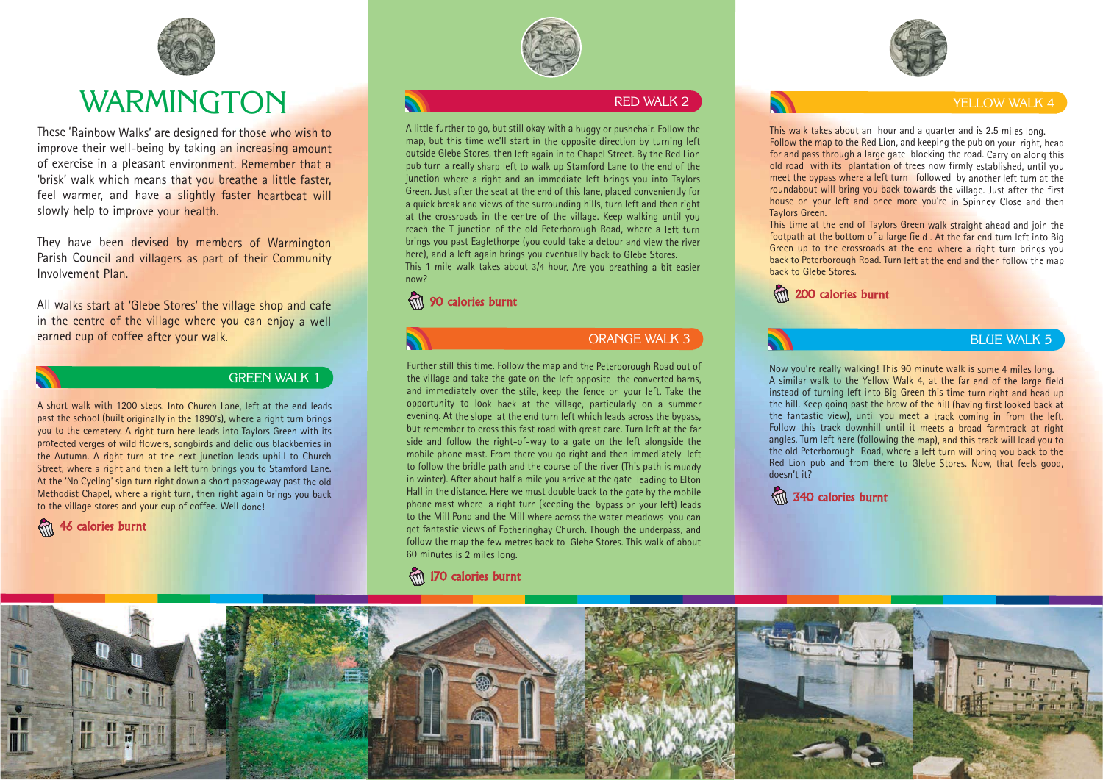

# WARMINGTON

These 'Rainbow Walks' are designed for those who wish to improve their well-being by taking an increasing amount of exercise in a pleasant environment. Remember that a 'brisk' walk which means that you breathe a little faster, feel warmer, and have a slightly faster heartbeat will slowly help to improve your health.

They have been devised by members of Warmington Parish Council and villagers as part of their Community Involvement Plan.

All walks start at 'Glebe Stores' the village shop and cafe in the centre of the village where you can enjoy a well earned cup of coffee after your walk.

#### GREEN WALK 1

A short walk with 1200 steps. Into Church Lane, left at the end leads past the school (built originally in the 1890's), where a right turn brings you to the cemetery. A right turn here leads into Taylors Green with its protected verges of wild flowers, songbirds and delicious blackberries in the Autumn. A right turn at the next junction leads uphill to Church Street, where a right and then a left turn brings you to Stamford Lane. At the 'No Cycling' sign turn right down a short passageway past the old Methodist Chapel, where a right turn, then right again brings you back to the village stores and your cup of coffee. Well done!





#### RED WALK 2

A little further to go, but still okay with a buggy or pushchair. Follow the map, but this time we'll start in the opposite direction by turning left outside Glebe Stores, then left again in to Chapel Street. By the Red Lion pub turn a really sharp left to walk up Stamford Lane to the end of the junction where a right and an immediate left brings you into Taylors Green. Just after the seat at the end of this lane, placed conveniently for a quick break and views of the surrounding hills, turn left and then right at the crossroads in the centre of the village. Keep walking until you reach the T junction of the old Peterborough Road, where a left turn brings you past Eaglethorpe (you could take a detour and view the river here), and a left again brings you eventually back to Glebe Stores. This 1 mile walk takes about 3/4 hour. Are you breathing a bit easier now?

#### 90 calories burnt



#### ORANGE WALK 3

Further still this time. Follow the map and the Peterborough Road out of the village and take the gate on the left opposite the converted barns, and immediately over the stile, keep the fence on your left. Take the opportunity to look back at the village, particularly on a summer evening. At the slope at the end turn left which leads across the bypass, but remember to cross this fast road with great care. Turn left at the far side and follow the right-of-way to a gate on the left alongside the mobile phone mast. From there you go right and then immediately left to follow the bridle path and the course of the river (This path is muddy in winter). After about half a mile you arrive at the gate leading to Elton Hall in the distance. Here we must double back to the gate by the mobile phone mast where a right turn (keeping the bypass on your left) leads to the Mill Pond and the Mill where across the water meadows you can get fantastic views of Fotheringhay Church. Though the underpass, and follow the map the few metres back to Glebe Stores. This walk of about 60 minutes is 2 miles long.

#### 170 calories burnt



#### YELLOW WALK 4

This walk takes about an hour and a quarter and is 2.5 miles long. Follow the map to the Red Lion, and keeping the pub on your right, head for and pass through a large gate blocking the road. Carry on along this old road with its plantation of trees now firmly established, until you meet the bypass where a left turn followed by another left turn at the roundabout will bring you back towards the village. Just after the first house on your left and once more you're in Spinney Close and then Taylors Green.

This time at the end of Taylors Green walk straight ahead and join the footpath at the bottom of a large field . At the far end turn left into Big Green up to the crossroads at the end where a right turn brings you back to Peterborough Road. Turn left at the end and then follow the map back to Glebe Stores.

200 calories burnt

### BLUE WALK 5

Now you're really walking! This 90 minute walk is some 4 miles long. A similar walk to the Yellow Walk 4, at the far end of the large field instead of turning left into Big Green this time turn right and head up the hill. Keep going past the brow of the hill (having first looked back at the fantastic view), until you meet a track coming in from the left. Follow this track downhill until it meets a broad farmtrack at right angles. Turn left here (following the map), and this track will lead you to the old Peterborough Road, where a left turn will bring you back to the Red Lion pub and from there to Glebe Stores. Now, that feels good, doesn't it?

3 40 calories burnt